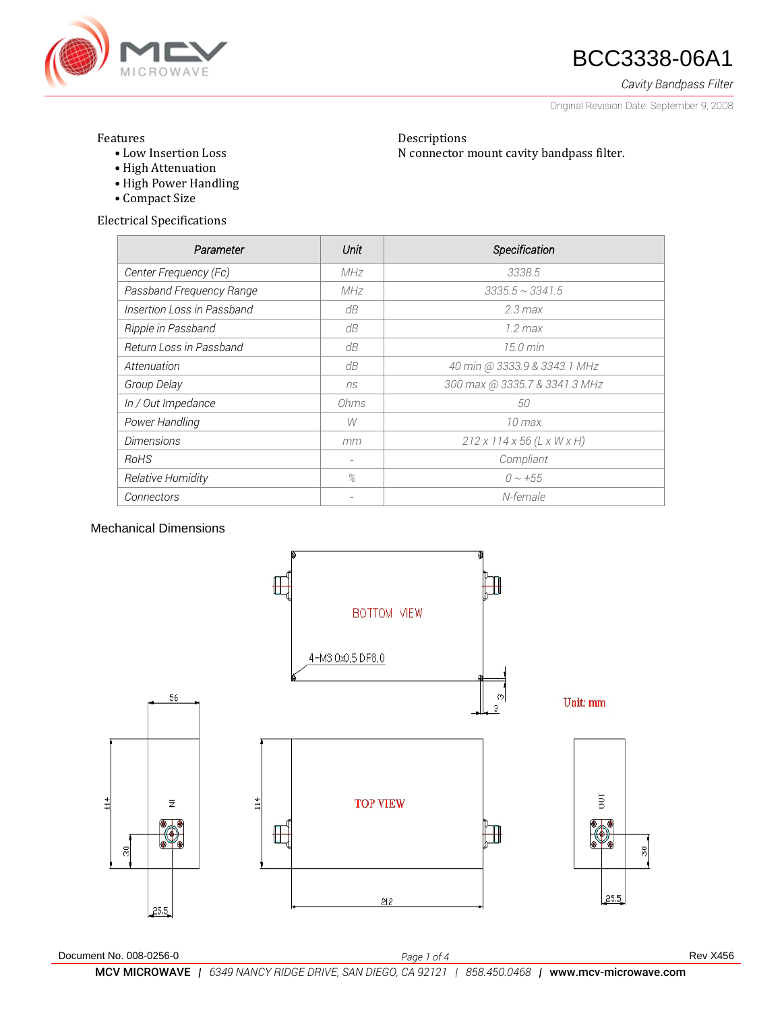

### **47 BCC3338-06A1**

*Cavity Bandpass Filter*

Original Revision Date: September 9, 2008

#### Features

- Low Insertion Loss
- High Attenuation
- High Power Handling
- Compact Size

Electrical Specifications

| Parameter                  | Unit | Specification                          |
|----------------------------|------|----------------------------------------|
| Center Frequency (Fc)      | MHz  | 3338.5                                 |
| Passband Frequency Range   | MHz  | $3335.5 \sim 3341.5$                   |
| Insertion Loss in Passband | dB   | $2.3$ max                              |
| Ripple in Passband         | dB   | $1.2 \, max$                           |
| Return Loss in Passband    | dB   | $15.0 \text{ min}$                     |
| Attenuation                | dB   | 40 min @ 3333.9 & 3343.1 MHz           |
| Group Delay                | ns   | 300 max @ 3335.7 & 3341.3 MHz          |
| In / Out Impedance         | Ohms | 50                                     |
| Power Handling             | W    | $10$ max                               |
| <b>Dimensions</b>          | mm   | $212 \times 114 \times 56$ (L x W x H) |
| RoHS                       |      | Compliant                              |
| Relative Humidity          | %    | $0 \sim +55$                           |
| Connectors                 |      | N-female                               |

Descriptions

N connector mount cavity bandpass filter.

### Mechanical Dimensions

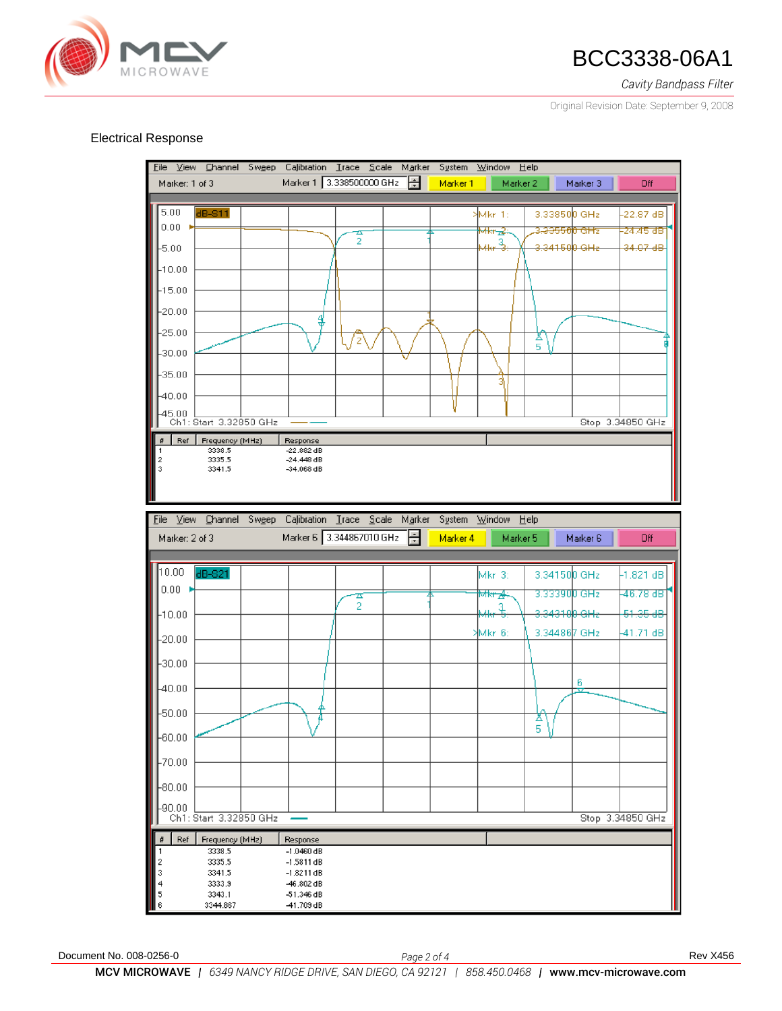

## **AND BCC3338-06A1**

*Cavity Bandpass Filter*

Original Revision Date: September 9, 2008

#### Electrical Response

Eile View Channel Sweep Calibration Trace Scale Marker System Window Help Marker 1 3.338500000 GHz Marker: 1 of 3 Marker 1 Marker 2 Marker 3 Off 5.00 **IB-811** Mkr 1: 3.338500 GHz  $22.87dB$  $0.00$ <del>Mkr⊿</del>≩ 3<del>.33550</del> GĦz .<br>24.45 dB  $\frac{1}{2}$ З,  $-5.00$ ДL, 34150<mark>0 GH</mark>z  $34.07 - 48$  $-10.00$  $-15.00$  $-20.00$ 4  $-25.00$  $\frac{\Delta}{5}$ '2  $-30.00$  $-35.00$  $-40.00$ -45.00 <u>| |</u><br>Ch1: Start 3.32850 GHz Stop 3.34850 GHz  $\begin{array}{|c|c|c|}\n\hline\n\text{\#} & \text{Ref} & \text{Frequency (MHz)}\n\end{array}$ Response 3338.5  $-22.882$  dB 1 3335.5  $-24.448$  dB  $\frac{2}{3}$ 3341.5  $-34.068$  dB File View Channel Sweep Calibration Trace  $Scale$ Marker System Window Help Marker 6 3.344867010 GHz H Marker: 2 of 3 Marker 6 Marker 4 Marker 5 Off 10.00 Mkr 3: 3.341500 GHz  $-1.821dB$  $0.00 -$ 3.33390<mark>0 GHz</mark> 46.78 dB <del>∕kr⊿</del>  $\frac{1}{2}$  $-10.00$ <del>34310<mark>0</mark> GHz</del> 51.35 dB 3.344867 GHz 41.71 dB Mkr 6  $-20.00$  $-30.00$ 6  $-40.00$  $-50.00$  $\frac{X}{5}$  $-60.00$  $-70.00$  $-80.00$  $-90.00$ Stop 3.34850 GHz Ch1: Start 3.32850 GHz  $Ref$ Frequency (MHz) Response 3338.5  $-1.0460$  dB  $\overline{1}$ 3335.5  $-1.5811dB$ 2 3 3341.5  $-1.8211dB$  $\overline{\mathbf{4}}$ 3333.9 46.802 dB 5 3343.1 -51.346 dB 3344.867 -41.709 dB 6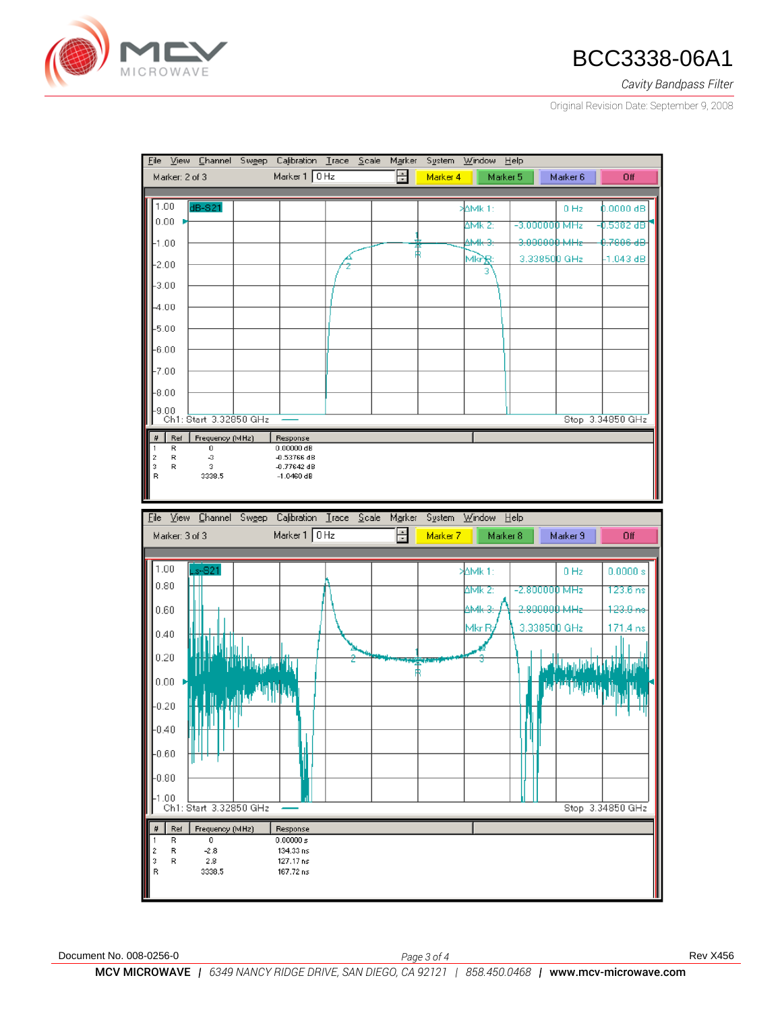

# **AND BCC3338-06A1**

*Cavity Bandpass Filter*

Original Revision Date: September 9, 2008

|                                                 | File View Channel Swgep Calibration Trace Scale Marker                    |                               |  |        |          | System Window Help |                         |                  |
|-------------------------------------------------|---------------------------------------------------------------------------|-------------------------------|--|--------|----------|--------------------|-------------------------|------------------|
| Marker: 2 of 3                                  |                                                                           | Marker 1 0 Hz                 |  | $\div$ | Marker 4 | Marker 5           | Marker 6                | Off              |
|                                                 |                                                                           |                               |  |        |          |                    |                         |                  |
| 1.00                                            | dB-S21                                                                    |                               |  |        |          | <b>AMK1:</b>       | 0 Hz                    | $0.0000$ dB      |
| 0.00                                            |                                                                           |                               |  |        |          | $\Delta$ Mk 2:     | $-3.0000000$ MHz        | -0.5382 dB       |
| $\mathsf{F}_{1.00}$                             |                                                                           |                               |  |        |          | <b>AMR-3:</b>      | <del>3.000000 MHz</del> | 0.7806 dB        |
| $-2.00$                                         |                                                                           |                               |  |        |          | Mkrg:<br>з         | 3.338500 GHz            | $-1.043$ dB      |
| -3.00                                           |                                                                           |                               |  |        |          |                    |                         |                  |
| $-4.00$                                         |                                                                           |                               |  |        |          |                    |                         |                  |
|                                                 |                                                                           |                               |  |        |          |                    |                         |                  |
| -5.00                                           |                                                                           |                               |  |        |          |                    |                         |                  |
| $-6.00$                                         |                                                                           |                               |  |        |          |                    |                         |                  |
| $-7.00$                                         |                                                                           |                               |  |        |          |                    |                         |                  |
| -8.00                                           |                                                                           |                               |  |        |          |                    |                         |                  |
| $-9.00$                                         |                                                                           |                               |  |        |          |                    |                         |                  |
|                                                 | Ch1: Start 3.32850 GHz                                                    |                               |  |        |          |                    |                         | Stop 3.34850 GHz |
| $\sharp$<br>Ref                                 | Frequency (MHz)<br>0                                                      | Response                      |  |        |          |                    |                         |                  |
| 1<br>R<br>R                                     | -3                                                                        | 0.00000 dB<br>$-0.53766$ dB   |  |        |          |                    |                         |                  |
| $\begin{array}{c} 2 \\ 3 \\ R \end{array}$<br>R | з<br>3338.5                                                               | $-0.77642$ dB<br>$-1.0460$ dB |  |        |          |                    |                         |                  |
|                                                 |                                                                           |                               |  |        |          |                    |                         |                  |
|                                                 | File View Channel Swgep Calibration Trace Scale Marker System Window Help |                               |  |        |          |                    |                         |                  |
|                                                 |                                                                           | Marker 1 0 Hz                 |  | 를      |          |                    |                         |                  |
| Marker: 3 of 3                                  |                                                                           |                               |  |        | Marker 7 | Marker 8           | Marker 9                | Off              |
| 1.00                                            | $Ls-S21$                                                                  |                               |  |        |          | <b>AMK1:</b>       | $0$ Hz                  | 0.0000 s         |
| 0.80                                            |                                                                           |                               |  |        |          |                    |                         |                  |
|                                                 |                                                                           |                               |  |        |          | ∆Mk 2:             | $-2.800000$ MHz         | 123.6ns          |
| 0.60                                            |                                                                           |                               |  |        |          |                    |                         |                  |
| 0.40                                            |                                                                           |                               |  |        |          | AMR-3              | 2.800000 MHz            | $123.0 -$        |
|                                                 |                                                                           |                               |  |        |          | MkrB               | 3.338500 GHz            | 171.4 ns         |
|                                                 |                                                                           |                               |  |        |          |                    |                         |                  |
| 0.20                                            |                                                                           |                               |  |        |          |                    | <u>الزاران زارانا</u>   |                  |
| 0.00                                            |                                                                           |                               |  |        |          |                    |                         |                  |
| $-0.20$                                         |                                                                           |                               |  |        |          |                    | <b>Information</b>      |                  |
|                                                 |                                                                           |                               |  |        |          |                    |                         |                  |
| $-0.40$                                         |                                                                           |                               |  |        |          |                    |                         |                  |
| $-0.60$                                         |                                                                           |                               |  |        |          |                    |                         |                  |
|                                                 |                                                                           |                               |  |        |          |                    |                         |                  |
| -0.80                                           |                                                                           |                               |  |        |          |                    |                         |                  |
| $-1.00$                                         | Ch1: Start 3.32850 GHz                                                    |                               |  |        |          |                    |                         | Stop 3.34850 GHz |
| Ref                                             | Frequency (MHz)                                                           | Response                      |  |        |          |                    |                         |                  |
| R<br>1                                          | 0                                                                         | 0.00000 s                     |  |        |          |                    |                         |                  |
| R<br>R                                          | $-2.8$<br>2.8                                                             | 134.33 ns<br>127.17 ns        |  |        |          |                    |                         |                  |
| $\frac{2}{3}$ R                                 | 3338.5                                                                    | 167.72 ns                     |  |        |          |                    |                         |                  |